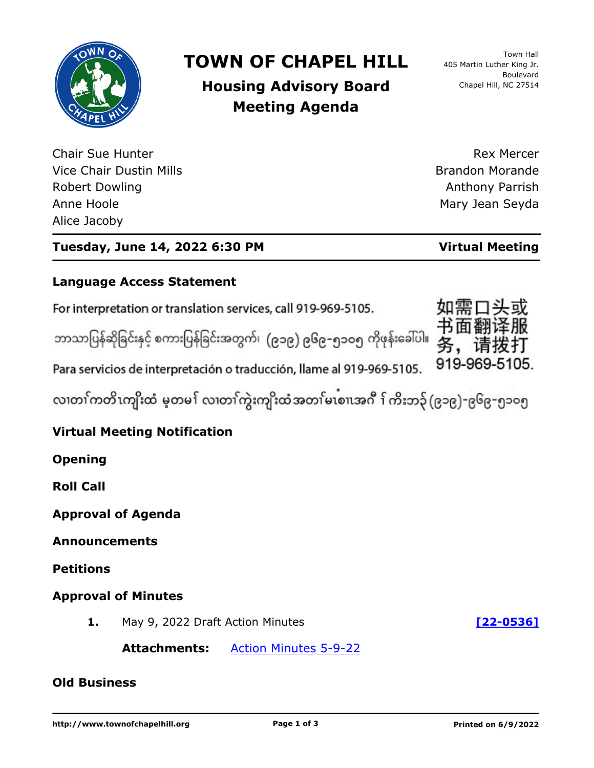

# **TOWN OF CHAPEL HILL**

**Housing Advisory Board Meeting Agenda**

Town Hall 405 Martin Luther King Jr. Boulevard Chapel Hill, NC 27514

Chair Sue Hunter Vice Chair Dustin Mills Robert Dowling Anne Hoole Alice Jacoby

Rex Mercer Brandon Morande Anthony Parrish Mary Jean Seyda

### **Tuesday, June 14, 2022 6:30 PM Virtual Meeting**

#### **Language Access Statement**

For interpretation or translation services, call 919-969-5105.

ဘာသာပြန်ဆိုခြင်းနှင့် စကားပြန်ခြင်းအတွက်၊ (၉၁၉) ၉၆၉-၅၁ဝ၅ ကိုဖုန်းခေါ်ပါ။



Para servicios de interpretación o traducción, llame al 919-969-5105.

လ၊တၢ်ကတိၤကျိးထံ မ့တမ႑် လ၊တၢ်ကွဲးကျိးထံအတၤ်မၤစၢ၊အဂီ ႑်ကိးဘ၃် (၉၁၉)-၉၆၉-၅၁၀၅

### **Virtual Meeting Notification**

**Opening**

**Roll Call**

**Approval of Agenda**

**Announcements**

**Petitions**

#### **Approval of Minutes**

**1.** May 9, 2022 Draft Action Minutes **[\[22-0536\]](http://chapelhill.legistar.com/gateway.aspx?m=l&id=/matter.aspx?key=8088)**

**Attachments:** [Action Minutes 5-9-22](http://chapelhill.legistar.com/gateway.aspx?M=F&ID=eb6f878f-588c-4287-9088-51fe7715fe23.pdf)

#### **Old Business**

**http://www.townofchapelhill.org Page 1 of 3 Printed on 6/9/2022**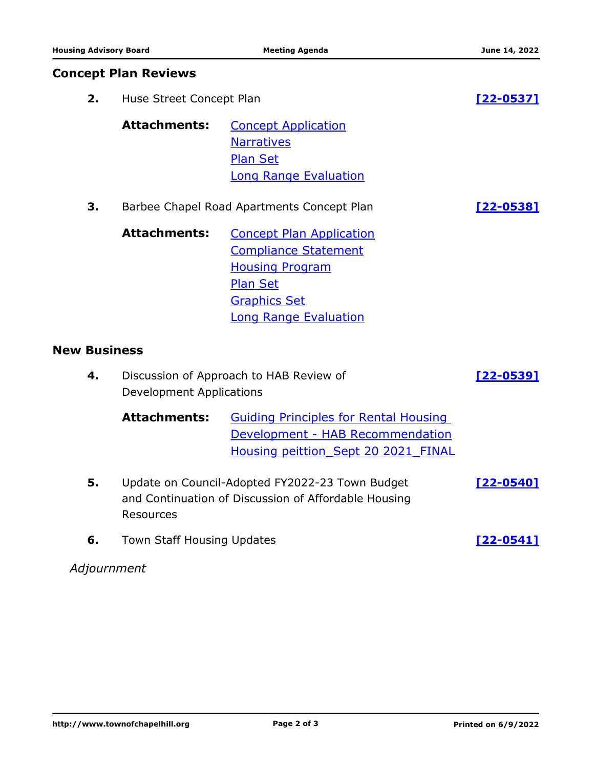|                     | <b>Concept Plan Reviews</b>                                                                                          |                                                                                                                                                                    |                  |
|---------------------|----------------------------------------------------------------------------------------------------------------------|--------------------------------------------------------------------------------------------------------------------------------------------------------------------|------------------|
| 2.                  | Huse Street Concept Plan                                                                                             |                                                                                                                                                                    | <u>[22-0537]</u> |
|                     | <b>Attachments:</b>                                                                                                  | <b>Concept Application</b><br><b>Narratives</b><br><b>Plan Set</b><br><b>Long Range Evaluation</b>                                                                 |                  |
| 3.                  | Barbee Chapel Road Apartments Concept Plan                                                                           |                                                                                                                                                                    | $[22 - 0538]$    |
|                     | <b>Attachments:</b>                                                                                                  | <b>Concept Plan Application</b><br><b>Compliance Statement</b><br><b>Housing Program</b><br><b>Plan Set</b><br><b>Graphics Set</b><br><b>Long Range Evaluation</b> |                  |
| <b>New Business</b> |                                                                                                                      |                                                                                                                                                                    |                  |
| 4.                  | Discussion of Approach to HAB Review of<br><b>Development Applications</b>                                           |                                                                                                                                                                    | [22-0539]        |
|                     | <b>Attachments:</b>                                                                                                  | <b>Guiding Principles for Rental Housing</b><br>Development - HAB Recommendation<br>Housing peittion Sept 20 2021 FINAL                                            |                  |
| 5.                  | Update on Council-Adopted FY2022-23 Town Budget<br>and Continuation of Discussion of Affordable Housing<br>Resources |                                                                                                                                                                    | $[22 - 0540]$    |
| 6.                  | Town Staff Housing Updates                                                                                           |                                                                                                                                                                    | [22-0541]        |

## *Adjournment*